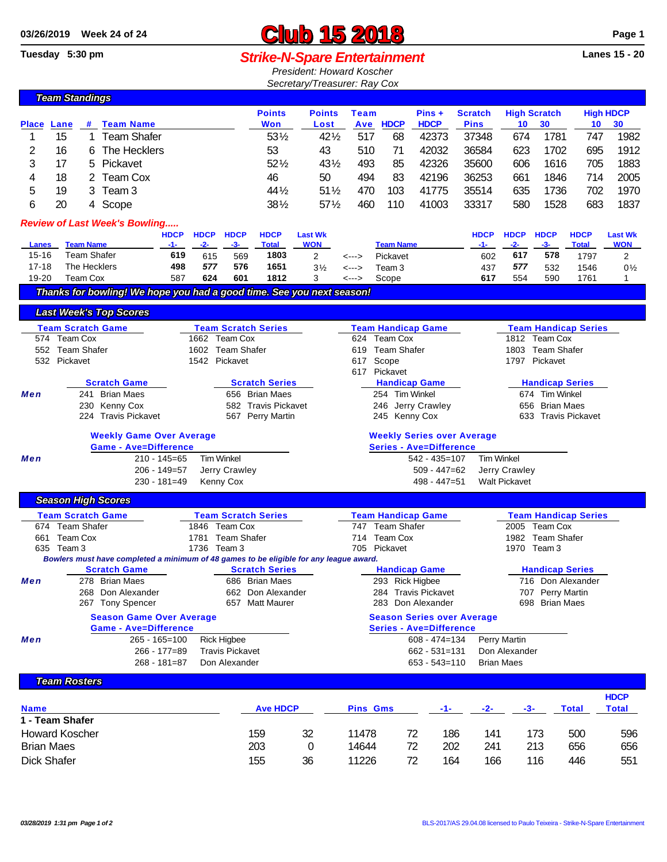## 03/26/2019 Week 24 of 24<br> **CLUD 15 2018 CLUB 15 2018** Page 1<br> **Club 15 2018 CLUB CLUB CLUB** Page 1

## **Strike-N-Spare Entertainment**

*President: Howard Koscher Secretary/Treasurer: Ray Cox*

|                                        | <b>Team Standings</b>             |                                     |                                                                                        |                  |                   |                                         |                            |                 |               |                    |                                |                                   |                                          |                        |                             |                |  |  |
|----------------------------------------|-----------------------------------|-------------------------------------|----------------------------------------------------------------------------------------|------------------|-------------------|-----------------------------------------|----------------------------|-----------------|---------------|--------------------|--------------------------------|-----------------------------------|------------------------------------------|------------------------|-----------------------------|----------------|--|--|
|                                        |                                   |                                     |                                                                                        |                  |                   |                                         | <b>Points</b>              | <b>Points</b>   | <b>Team</b>   |                    | $Pins +$                       | <b>Scratch</b>                    |                                          | <b>High Scratch</b>    | <b>High HDCP</b>            |                |  |  |
| Place                                  | Lane                              | #                                   | <b>Team Name</b>                                                                       |                  |                   |                                         | Won                        | Lost            | Ave           | <b>HDCP</b>        | <b>HDCP</b>                    | <b>Pins</b>                       | 10                                       | 30                     | 10                          | 30             |  |  |
| 1                                      | 15                                | 1                                   | <b>Team Shafer</b>                                                                     |                  |                   |                                         | 531/2                      | $42\frac{1}{2}$ | 517           | 68                 | 42373                          | 37348                             | 674                                      | 1781                   | 747                         | 1982           |  |  |
| 2                                      | 16                                | 6                                   | The Hecklers                                                                           |                  |                   |                                         | 53                         | 43              | 510           | 71                 | 42032                          | 36584                             | 623                                      | 1702                   | 695                         | 1912           |  |  |
| 3                                      | 17                                | $52\%$<br>Pickavet<br>5             |                                                                                        |                  |                   |                                         |                            |                 | 431/2<br>493  | 85                 | 42326                          | 35600                             | 606                                      | 1616                   | 705                         | 1883           |  |  |
| 4                                      | 18                                |                                     | 2 Team Cox                                                                             |                  |                   |                                         | 46                         | 50              | 494           | 83                 | 42196                          | 36253                             | 661                                      | 1846                   | 714                         | 2005           |  |  |
| 5                                      | 19                                |                                     | 3 Team 3                                                                               |                  |                   |                                         | 44 1/2                     | $51\%$          | 470           | 103                | 41775                          | 35514                             | 635                                      | 1736                   | 702                         | 1970           |  |  |
| 6                                      | 20                                |                                     | 4 Scope                                                                                |                  |                   |                                         | $38\frac{1}{2}$            | $57\%$          | 460           | 110                | 41003                          | 33317                             | 580                                      | 1528                   | 683                         | 1837           |  |  |
| <b>Review of Last Week's Bowling</b>   |                                   |                                     |                                                                                        |                  |                   |                                         |                            |                 |               |                    |                                |                                   |                                          |                        |                             |                |  |  |
|                                        |                                   |                                     |                                                                                        | <b>HDCP</b>      | <b>HDCP</b>       | <b>HDCP</b>                             | <b>HDCP</b>                | <b>Last Wk</b>  |               |                    |                                | <b>HDCP</b>                       | <b>HDCP</b>                              | <b>HDCP</b>            | <b>HDCP</b>                 | <b>Last Wk</b> |  |  |
| Lanes                                  |                                   | <b>Team Name</b>                    |                                                                                        | $-1-$            | $-2-$             | $-3-$                                   | <b>Total</b>               | <b>WON</b>      |               | <b>Team Name</b>   |                                | -1-                               | $-2-$                                    | $-3-$                  | <b>Total</b>                | <b>WON</b>     |  |  |
| $15 - 16$                              |                                   | <b>Team Shafer</b>                  |                                                                                        | 619              | 615               | 569                                     | 1803                       | 2               | <--->         | Pickavet           |                                | 602                               | 617                                      | 578                    | 1797                        | 2              |  |  |
| $17 - 18$                              |                                   | The Hecklers                        |                                                                                        | 498              | 577               | 576                                     | 1651                       | $3\frac{1}{2}$  | <--->         | Team 3             |                                | 437                               | 577                                      | 532                    | 1546                        | $0\frac{1}{2}$ |  |  |
| 19-20                                  |                                   | <b>Team Cox</b>                     |                                                                                        | 587              | 624               | 601                                     | 1812                       | 3               | <--->         | Scope              |                                | 617                               | 554                                      | 590                    | 1761                        | 1              |  |  |
|                                        |                                   |                                     | Thanks for bowling! We hope you had a good time. See you next season!                  |                  |                   |                                         |                            |                 |               |                    |                                |                                   |                                          |                        |                             |                |  |  |
|                                        |                                   |                                     | <b>Last Week's Top Scores</b>                                                          |                  |                   |                                         |                            |                 |               |                    |                                |                                   |                                          |                        |                             |                |  |  |
|                                        | <b>Team Scratch Game</b>          |                                     |                                                                                        |                  |                   |                                         | <b>Team Scratch Series</b> |                 |               |                    | <b>Team Handicap Game</b>      |                                   |                                          |                        | <b>Team Handicap Series</b> |                |  |  |
|                                        | 574 Team Cox<br>1662 Team Cox     |                                     |                                                                                        |                  |                   |                                         |                            |                 | 1812 Team Cox |                    |                                |                                   |                                          |                        |                             |                |  |  |
|                                        |                                   | 552 Team Shafer<br>1602 Team Shafer |                                                                                        |                  |                   |                                         |                            |                 | 619           | <b>Team Shafer</b> |                                |                                   | 1803 Team Shafer                         |                        |                             |                |  |  |
|                                        | 532 Pickavet                      |                                     |                                                                                        |                  | 1542 Pickavet     |                                         |                            |                 | 617           | Scope              |                                |                                   |                                          | 1797 Pickavet          |                             |                |  |  |
|                                        |                                   |                                     | <b>Scratch Game</b>                                                                    |                  |                   |                                         |                            |                 |               | 617 Pickavet       |                                |                                   |                                          |                        |                             |                |  |  |
| Men                                    |                                   |                                     | 241 Brian Maes                                                                         |                  |                   | <b>Scratch Series</b><br>656 Brian Maes |                            |                 |               | 254 Tim Winkel     | <b>Handicap Game</b>           |                                   | <b>Handicap Series</b><br>674 Tim Winkel |                        |                             |                |  |  |
|                                        | 230 Kenny Cox                     |                                     |                                                                                        |                  |                   |                                         | 582 Travis Pickavet        |                 |               | 246 Jerry Crawley  | 656 Brian Maes                 |                                   |                                          |                        |                             |                |  |  |
|                                        |                                   |                                     | 224 Travis Pickavet                                                                    |                  |                   |                                         | 567 Perry Martin           |                 |               | 245 Kenny Cox      |                                |                                   | 633 Travis Pickavet                      |                        |                             |                |  |  |
|                                        |                                   |                                     | <b>Weekly Game Over Average</b>                                                        |                  |                   |                                         |                            |                 |               |                    |                                | <b>Weekly Series over Average</b> |                                          |                        |                             |                |  |  |
|                                        |                                   |                                     | <b>Game - Ave=Difference</b>                                                           |                  |                   |                                         |                            |                 |               |                    | <b>Series - Ave=Difference</b> |                                   |                                          |                        |                             |                |  |  |
| Men                                    |                                   |                                     |                                                                                        | $210 - 145 = 65$ | <b>Tim Winkel</b> |                                         |                            |                 |               |                    | $542 - 435 = 107$              | <b>Tim Winkel</b>                 |                                          |                        |                             |                |  |  |
|                                        |                                   |                                     |                                                                                        | 206 - 149=57     |                   | Jerry Crawley                           |                            |                 |               |                    | $509 - 447 = 62$               |                                   | Jerry Crawley                            |                        |                             |                |  |  |
|                                        | Kenny Cox<br>230 - 181=49         |                                     |                                                                                        |                  |                   |                                         |                            |                 |               |                    | $498 - 447 = 51$               |                                   | <b>Walt Pickavet</b>                     |                        |                             |                |  |  |
|                                        |                                   |                                     | <b>Season High Scores</b>                                                              |                  |                   |                                         |                            |                 |               |                    |                                |                                   |                                          |                        |                             |                |  |  |
|                                        | <b>Team Scratch Game</b>          |                                     |                                                                                        |                  |                   |                                         | <b>Team Scratch Series</b> |                 |               |                    | <b>Team Handicap Game</b>      |                                   |                                          |                        | <b>Team Handicap Series</b> |                |  |  |
|                                        | 674 Team Shafer                   |                                     |                                                                                        |                  | 1846 Team Cox     |                                         |                            |                 |               | 747 Team Shafer    |                                |                                   |                                          | 2005 Team Cox          |                             |                |  |  |
| 661                                    | Team Cox                          |                                     |                                                                                        |                  | 1781              | <b>Team Shafer</b>                      |                            |                 |               | 714 Team Cox       |                                |                                   |                                          | 1982 Team Shafer       |                             |                |  |  |
|                                        | 635 Team 3                        |                                     |                                                                                        |                  | 1736 Team 3       |                                         |                            |                 |               | 705 Pickavet       |                                |                                   |                                          | 1970 Team 3            |                             |                |  |  |
|                                        |                                   |                                     | Bowlers must have completed a minimum of 48 games to be eligible for any league award. |                  |                   |                                         | <b>Scratch Series</b>      |                 |               |                    | <b>Handicap Game</b>           |                                   |                                          | <b>Handicap Series</b> |                             |                |  |  |
| Men                                    |                                   |                                     | <b>Scratch Game</b><br>278 Brian Maes                                                  |                  |                   |                                         | 686 Brian Maes             |                 |               | 293 Rick Higbee    |                                |                                   |                                          |                        | 716 Don Alexander           |                |  |  |
|                                        |                                   |                                     | 268 Don Alexander                                                                      |                  |                   |                                         | 662 Don Alexander          |                 |               |                    | 284 Travis Pickavet            |                                   |                                          | 707 Perry Martin       |                             |                |  |  |
|                                        |                                   |                                     | 267 Tony Spencer                                                                       |                  |                   |                                         | 657 Matt Maurer            |                 |               |                    | 283 Don Alexander              |                                   |                                          | 698 Brian Maes         |                             |                |  |  |
|                                        |                                   |                                     | <b>Season Game Over Average</b>                                                        |                  |                   |                                         |                            |                 |               |                    |                                | <b>Season Series over Average</b> |                                          |                        |                             |                |  |  |
|                                        |                                   |                                     | <b>Game - Ave=Difference</b>                                                           |                  |                   |                                         |                            |                 |               |                    | <b>Series - Ave=Difference</b> |                                   |                                          |                        |                             |                |  |  |
| Men                                    |                                   |                                     | $265 - 165 = 100$                                                                      |                  |                   | <b>Rick Higbee</b>                      |                            |                 |               |                    | $608 - 474 = 134$              |                                   | Perry Martin                             |                        |                             |                |  |  |
| 266 - 177=89<br><b>Travis Pickavet</b> |                                   |                                     |                                                                                        |                  |                   |                                         |                            |                 |               | $662 - 531 = 131$  |                                | Don Alexander                     |                                          |                        |                             |                |  |  |
|                                        | $268 - 181 = 87$<br>Don Alexander |                                     |                                                                                        |                  |                   |                                         |                            |                 |               |                    | $653 - 543 = 110$              |                                   | <b>Brian Maes</b>                        |                        |                             |                |  |  |
|                                        | <b>Team Rosters</b>               |                                     |                                                                                        |                  |                   |                                         |                            |                 |               |                    |                                |                                   |                                          |                        |                             |                |  |  |
|                                        |                                   |                                     |                                                                                        |                  |                   |                                         |                            |                 |               |                    |                                |                                   |                                          |                        |                             |                |  |  |

| <b>Name</b>           | <b>Ave HDCP</b> |    | <b>Pins Gms</b> | $-1-$ | $-2-$ | -3- | Total | <b>HDCP</b><br>Total |     |
|-----------------------|-----------------|----|-----------------|-------|-------|-----|-------|----------------------|-----|
| 1 - Team Shafer       |                 |    |                 |       |       |     |       |                      |     |
| <b>Howard Koscher</b> | 159             | 32 | 11478           | 72    | 186   | 141 | 173   | 500                  | 596 |
| <b>Brian Maes</b>     | 203             |    | 14644           | 72    | 202   | 241 | 213   | 656                  | 656 |
| <b>Dick Shafer</b>    | 155             | 36 | 11226           | 72    | 164   | 166 | 116   | 446                  | 551 |